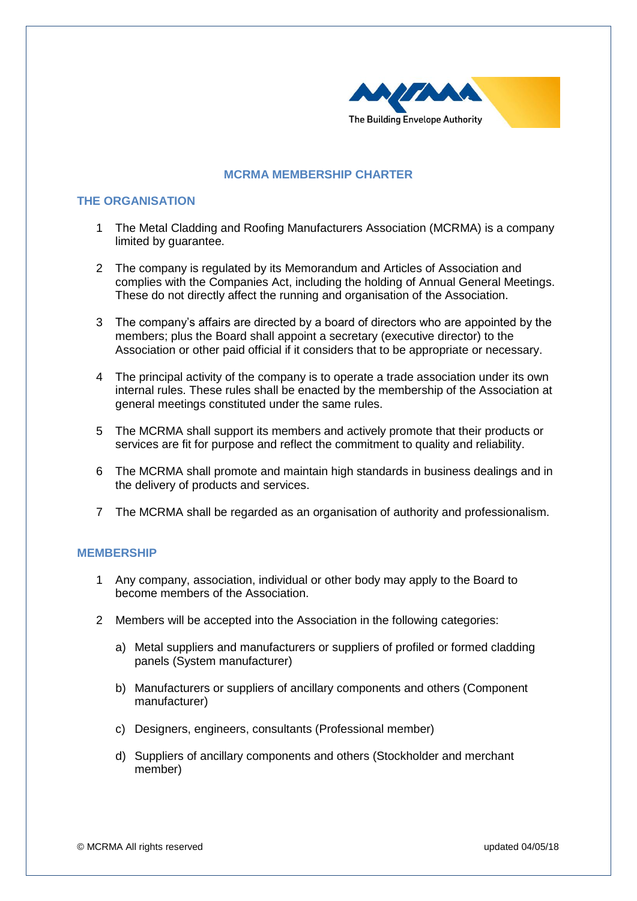

# **MCRMA MEMBERSHIP CHARTER**

# **THE ORGANISATION**

- 1 The Metal Cladding and Roofing Manufacturers Association (MCRMA) is a company limited by guarantee.
- 2 The company is regulated by its Memorandum and Articles of Association and complies with the Companies Act, including the holding of Annual General Meetings. These do not directly affect the running and organisation of the Association.
- 3 The company's affairs are directed by a board of directors who are appointed by the members; plus the Board shall appoint a secretary (executive director) to the Association or other paid official if it considers that to be appropriate or necessary.
- 4 The principal activity of the company is to operate a trade association under its own internal rules. These rules shall be enacted by the membership of the Association at general meetings constituted under the same rules.
- 5 The MCRMA shall support its members and actively promote that their products or services are fit for purpose and reflect the commitment to quality and reliability.
- 6 The MCRMA shall promote and maintain high standards in business dealings and in the delivery of products and services.
- 7 The MCRMA shall be regarded as an organisation of authority and professionalism.

## **MEMBERSHIP**

- 1 Any company, association, individual or other body may apply to the Board to become members of the Association.
- 2 Members will be accepted into the Association in the following categories:
	- a) Metal suppliers and manufacturers or suppliers of profiled or formed cladding panels (System manufacturer)
	- b) Manufacturers or suppliers of ancillary components and others (Component manufacturer)
	- c) Designers, engineers, consultants (Professional member)
	- d) Suppliers of ancillary components and others (Stockholder and merchant member)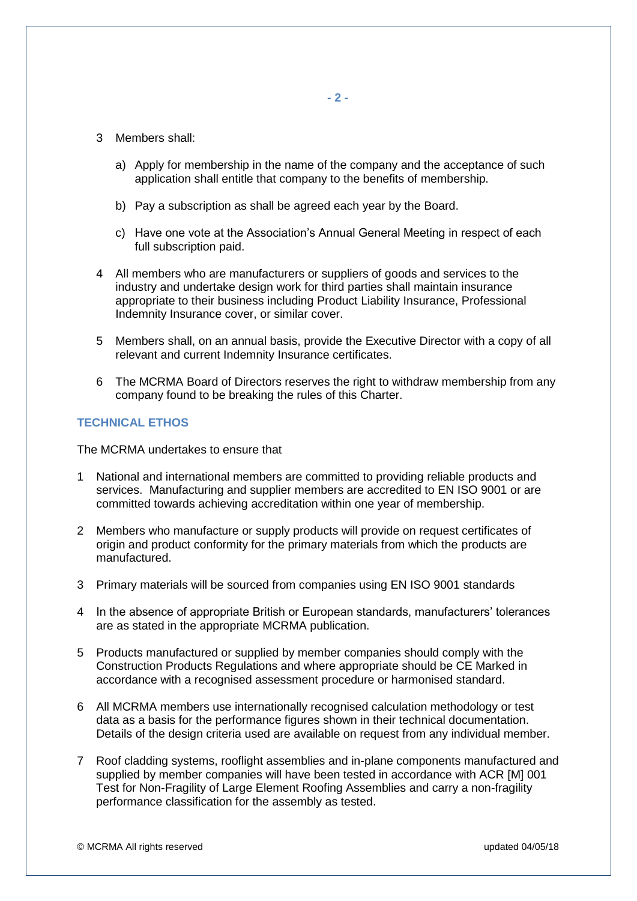- 3 Members shall:
	- a) Apply for membership in the name of the company and the acceptance of such application shall entitle that company to the benefits of membership.
	- b) Pay a subscription as shall be agreed each year by the Board.
	- c) Have one vote at the Association's Annual General Meeting in respect of each full subscription paid.
- 4 All members who are manufacturers or suppliers of goods and services to the industry and undertake design work for third parties shall maintain insurance appropriate to their business including Product Liability Insurance, Professional Indemnity Insurance cover, or similar cover.
- 5 Members shall, on an annual basis, provide the Executive Director with a copy of all relevant and current Indemnity Insurance certificates.
- 6 The MCRMA Board of Directors reserves the right to withdraw membership from any company found to be breaking the rules of this Charter.

## **TECHNICAL ETHOS**

The MCRMA undertakes to ensure that

- 1 National and international members are committed to providing reliable products and services. Manufacturing and supplier members are accredited to EN ISO 9001 or are committed towards achieving accreditation within one year of membership.
- 2 Members who manufacture or supply products will provide on request certificates of origin and product conformity for the primary materials from which the products are manufactured.
- 3 Primary materials will be sourced from companies using EN ISO 9001 standards
- 4 In the absence of appropriate British or European standards, manufacturers' tolerances are as stated in the appropriate MCRMA publication.
- 5 Products manufactured or supplied by member companies should comply with the Construction Products Regulations and where appropriate should be CE Marked in accordance with a recognised assessment procedure or harmonised standard.
- 6 All MCRMA members use internationally recognised calculation methodology or test data as a basis for the performance figures shown in their technical documentation. Details of the design criteria used are available on request from any individual member.
- 7 Roof cladding systems, rooflight assemblies and in-plane components manufactured and supplied by member companies will have been tested in accordance with ACR [M] 001 Test for Non-Fragility of Large Element Roofing Assemblies and carry a non-fragility performance classification for the assembly as tested.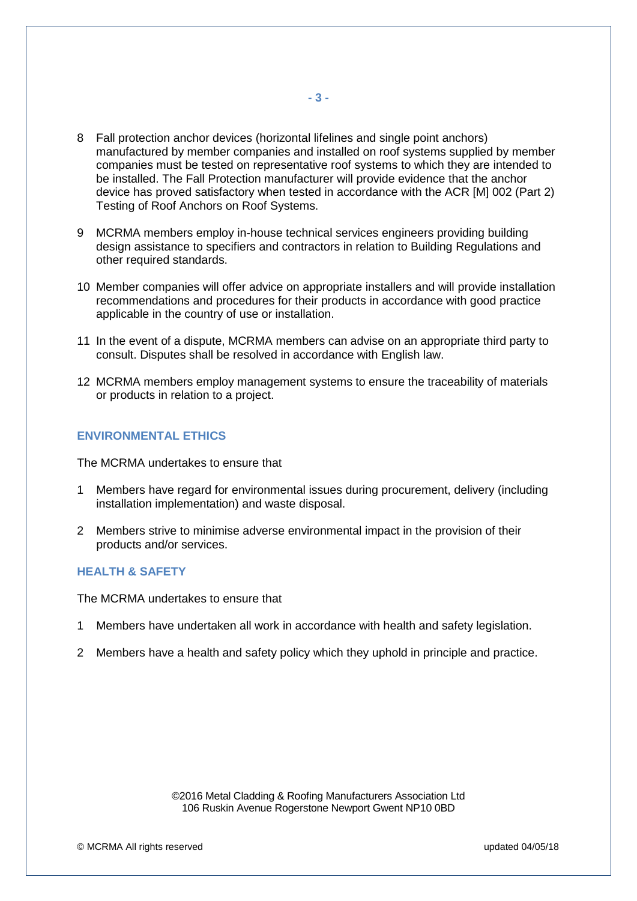- 8 Fall protection anchor devices (horizontal lifelines and single point anchors) manufactured by member companies and installed on roof systems supplied by member companies must be tested on representative roof systems to which they are intended to be installed. The Fall Protection manufacturer will provide evidence that the anchor device has proved satisfactory when tested in accordance with the ACR [M] 002 (Part 2) Testing of Roof Anchors on Roof Systems.
- 9 MCRMA members employ in-house technical services engineers providing building design assistance to specifiers and contractors in relation to Building Regulations and other required standards.
- 10 Member companies will offer advice on appropriate installers and will provide installation recommendations and procedures for their products in accordance with good practice applicable in the country of use or installation.
- 11 In the event of a dispute, MCRMA members can advise on an appropriate third party to consult. Disputes shall be resolved in accordance with English law.
- 12 MCRMA members employ management systems to ensure the traceability of materials or products in relation to a project.

#### **ENVIRONMENTAL ETHICS**

The MCRMA undertakes to ensure that

- 1 Members have regard for environmental issues during procurement, delivery (including installation implementation) and waste disposal.
- 2 Members strive to minimise adverse environmental impact in the provision of their products and/or services.

#### **HEALTH & SAFETY**

The MCRMA undertakes to ensure that

- 1 Members have undertaken all work in accordance with health and safety legislation.
- 2 Members have a health and safety policy which they uphold in principle and practice.

©2016 Metal Cladding & Roofing Manufacturers Association Ltd 106 Ruskin Avenue Rogerstone Newport Gwent NP10 0BD